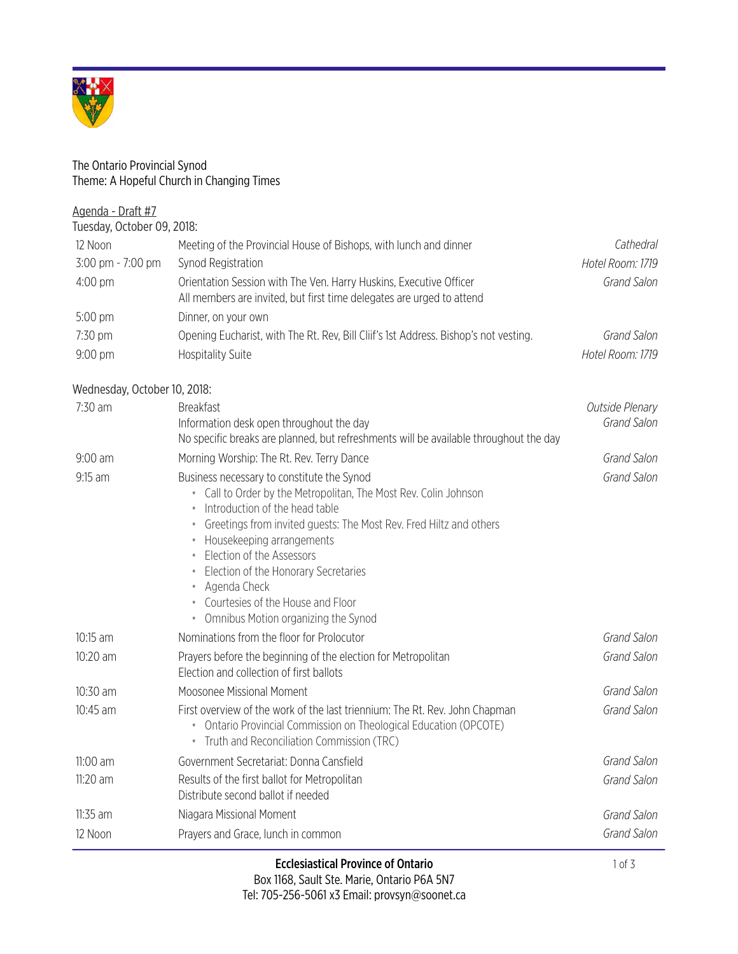

## The Ontario Provincial Synod Theme: A Hopeful Church in Changing Times

| Agenda - Draft #7            |                                                                                                                                                                                                                                                                                                                                                                                                                                                                                                 |                                |
|------------------------------|-------------------------------------------------------------------------------------------------------------------------------------------------------------------------------------------------------------------------------------------------------------------------------------------------------------------------------------------------------------------------------------------------------------------------------------------------------------------------------------------------|--------------------------------|
| Tuesday, October 09, 2018:   |                                                                                                                                                                                                                                                                                                                                                                                                                                                                                                 |                                |
| 12 Noon                      | Meeting of the Provincial House of Bishops, with lunch and dinner                                                                                                                                                                                                                                                                                                                                                                                                                               | Cathedral                      |
| 3:00 pm - 7:00 pm            | Synod Registration                                                                                                                                                                                                                                                                                                                                                                                                                                                                              | Hotel Room: 1719               |
| 4:00 pm                      | Orientation Session with The Ven. Harry Huskins, Executive Officer<br>All members are invited, but first time delegates are urged to attend                                                                                                                                                                                                                                                                                                                                                     | Grand Salon                    |
| 5:00 pm                      | Dinner, on your own                                                                                                                                                                                                                                                                                                                                                                                                                                                                             |                                |
| 7:30 pm                      | Opening Eucharist, with The Rt. Rev, Bill Cliif's 1st Address. Bishop's not vesting.                                                                                                                                                                                                                                                                                                                                                                                                            | Grand Salon                    |
| 9:00 pm                      | <b>Hospitality Suite</b>                                                                                                                                                                                                                                                                                                                                                                                                                                                                        | Hotel Room: 1719               |
| Wednesday, October 10, 2018: |                                                                                                                                                                                                                                                                                                                                                                                                                                                                                                 |                                |
| 7:30 am                      | <b>Breakfast</b><br>Information desk open throughout the day<br>No specific breaks are planned, but refreshments will be available throughout the day                                                                                                                                                                                                                                                                                                                                           | Outside Plenary<br>Grand Salon |
| $9:00$ am                    | Morning Worship: The Rt. Rev. Terry Dance                                                                                                                                                                                                                                                                                                                                                                                                                                                       | Grand Salon                    |
| 9:15 am                      | Business necessary to constitute the Synod<br>Call to Order by the Metropolitan, The Most Rev. Colin Johnson<br>Introduction of the head table<br>$\bullet$<br>Greetings from invited guests: The Most Rev. Fred Hiltz and others<br>$\qquad \qquad \circ$<br>Housekeeping arrangements<br>$\bullet$<br>Election of the Assessors<br>$\bullet$<br>Election of the Honorary Secretaries<br>Agenda Check<br>Courtesies of the House and Floor<br>Omnibus Motion organizing the Synod<br>$\bullet$ | Grand Salon                    |
| 10:15 am                     | Nominations from the floor for Prolocutor                                                                                                                                                                                                                                                                                                                                                                                                                                                       | Grand Salon                    |
| 10:20 am                     | Prayers before the beginning of the election for Metropolitan<br>Election and collection of first ballots                                                                                                                                                                                                                                                                                                                                                                                       | Grand Salon                    |
| 10:30 am                     | Moosonee Missional Moment                                                                                                                                                                                                                                                                                                                                                                                                                                                                       | Grand Salon                    |
| 10:45 am                     | First overview of the work of the last triennium: The Rt. Rev. John Chapman<br>Ontario Provincial Commission on Theological Education (OPCOTE)<br>Truth and Reconciliation Commission (TRC)                                                                                                                                                                                                                                                                                                     | Grand Salon                    |

11:00 am Government Secretariat: Donna Cansfield *Grand Salon*

11:35 am Niagara Missional Moment *Grand Salon* 12 Noon Prayers and Grace, lunch in common *Grand Salon*

11:20 am Results of the first ballot for Metropolitan

Distribute second ballot if needed

*Grand Salon*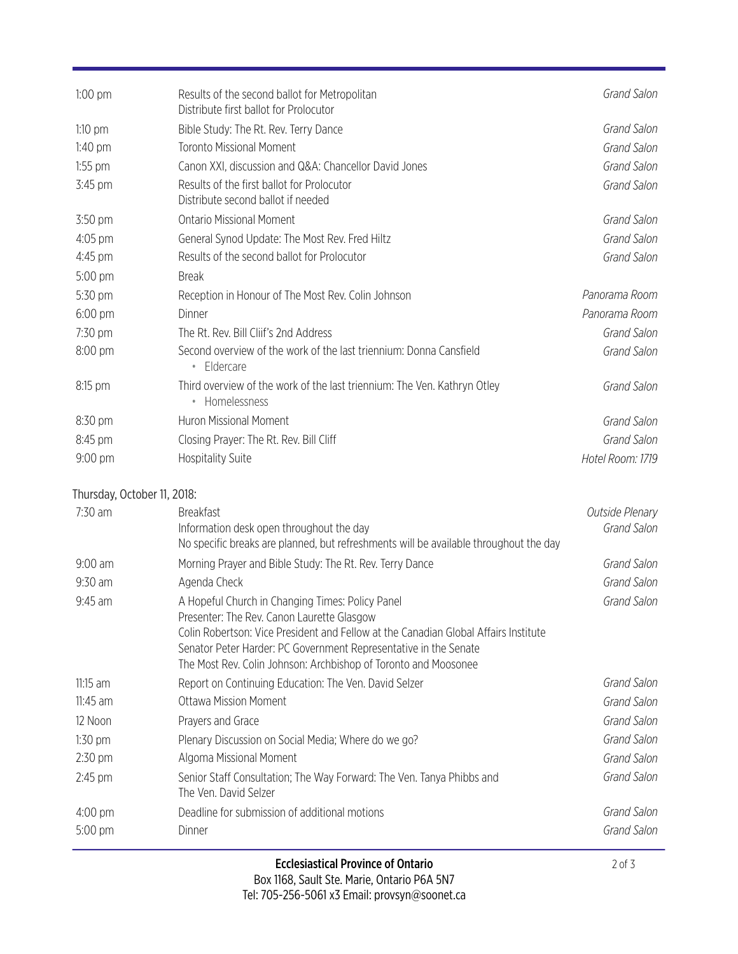| $1:00$ pm                   | Results of the second ballot for Metropolitan<br>Distribute first ballot for Prolocutor                                                                                                                                                                                                                                      | Grand Salon      |
|-----------------------------|------------------------------------------------------------------------------------------------------------------------------------------------------------------------------------------------------------------------------------------------------------------------------------------------------------------------------|------------------|
| $1:10$ pm                   | Bible Study: The Rt. Rev. Terry Dance                                                                                                                                                                                                                                                                                        | Grand Salon      |
| $1:40$ pm                   | <b>Toronto Missional Moment</b>                                                                                                                                                                                                                                                                                              | Grand Salon      |
| $1:55$ pm                   | Canon XXI, discussion and Q&A: Chancellor David Jones                                                                                                                                                                                                                                                                        | Grand Salon      |
| 3:45 pm                     | Results of the first ballot for Prolocutor<br>Distribute second ballot if needed                                                                                                                                                                                                                                             | Grand Salon      |
| 3:50 pm                     | <b>Ontario Missional Moment</b>                                                                                                                                                                                                                                                                                              | Grand Salon      |
| 4:05 pm                     | General Synod Update: The Most Rev. Fred Hiltz                                                                                                                                                                                                                                                                               | Grand Salon      |
| 4:45 pm                     | Results of the second ballot for Prolocutor                                                                                                                                                                                                                                                                                  | Grand Salon      |
| 5:00 pm                     | <b>Break</b>                                                                                                                                                                                                                                                                                                                 |                  |
| 5:30 pm                     | Reception in Honour of The Most Rev. Colin Johnson                                                                                                                                                                                                                                                                           | Panorama Room    |
| $6:00 \text{ pm}$           | Dinner                                                                                                                                                                                                                                                                                                                       | Panorama Room    |
| 7:30 pm                     | The Rt. Rev. Bill Cliif's 2nd Address                                                                                                                                                                                                                                                                                        | Grand Salon      |
| 8:00 pm                     | Second overview of the work of the last triennium: Donna Cansfield<br>• Eldercare                                                                                                                                                                                                                                            | Grand Salon      |
| 8:15 pm                     | Third overview of the work of the last triennium: The Ven. Kathryn Otley<br>• Homelessness                                                                                                                                                                                                                                   | Grand Salon      |
| 8:30 pm                     | <b>Huron Missional Moment</b>                                                                                                                                                                                                                                                                                                | Grand Salon      |
| 8:45 pm                     | Closing Prayer: The Rt. Rev. Bill Cliff                                                                                                                                                                                                                                                                                      | Grand Salon      |
| 9:00 pm                     | <b>Hospitality Suite</b>                                                                                                                                                                                                                                                                                                     | Hotel Room: 1719 |
| Thursday, October 11, 2018: |                                                                                                                                                                                                                                                                                                                              |                  |
| 7:30 am                     | <b>Breakfast</b>                                                                                                                                                                                                                                                                                                             | Outside Plenary  |
|                             | Information desk open throughout the day<br>No specific breaks are planned, but refreshments will be available throughout the day                                                                                                                                                                                            | Grand Salon      |
| $9:00$ am                   | Morning Prayer and Bible Study: The Rt. Rev. Terry Dance                                                                                                                                                                                                                                                                     | Grand Salon      |
| 9:30 am                     | Agenda Check                                                                                                                                                                                                                                                                                                                 | Grand Salon      |
| 9:45 am                     | A Hopeful Church in Changing Times: Policy Panel<br>Presenter: The Rev. Canon Laurette Glasgow<br>Colin Robertson: Vice President and Fellow at the Canadian Global Affairs Institute<br>Senator Peter Harder: PC Government Representative in the Senate<br>The Most Rev. Colin Johnson: Archbishop of Toronto and Moosonee | Grand Salon      |
| $11:15$ am                  | Report on Continuing Education: The Ven. David Selzer                                                                                                                                                                                                                                                                        | Grand Salon      |
| $11:45$ am                  | <b>Ottawa Mission Moment</b>                                                                                                                                                                                                                                                                                                 | Grand Salon      |
| 12 Noon                     | Prayers and Grace                                                                                                                                                                                                                                                                                                            | Grand Salon      |
| $1:30$ pm                   | Plenary Discussion on Social Media; Where do we go?                                                                                                                                                                                                                                                                          | Grand Salon      |
| 2:30 pm                     | Algoma Missional Moment                                                                                                                                                                                                                                                                                                      | Grand Salon      |
| $2:45$ pm                   | Senior Staff Consultation; The Way Forward: The Ven. Tanya Phibbs and<br>The Ven. David Selzer                                                                                                                                                                                                                               | Grand Salon      |
| $4:00 \text{ pm}$           | Deadline for submission of additional motions                                                                                                                                                                                                                                                                                | Grand Salon      |
| 5:00 pm                     | Dinner                                                                                                                                                                                                                                                                                                                       | Grand Salon      |